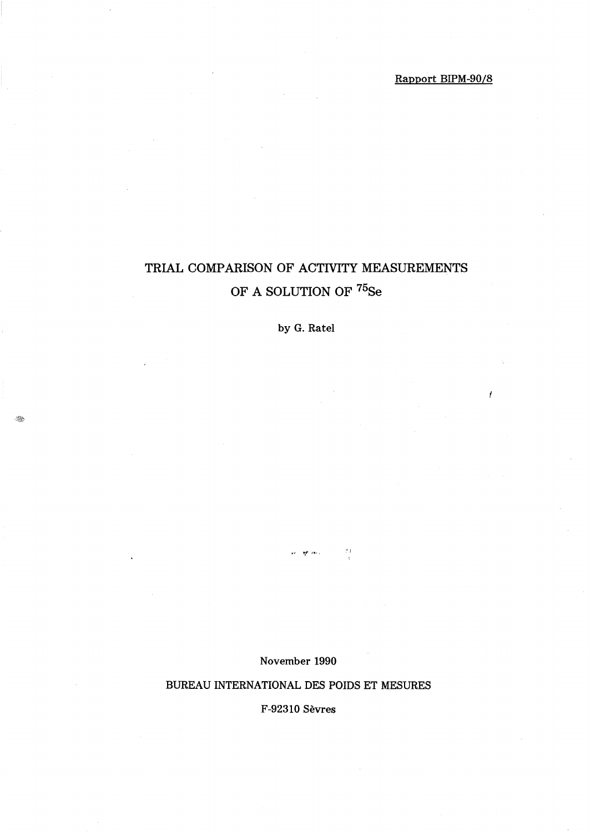# TRIAL COMPARISON OF ACTIVITY MEASUREMENTS OF A SOLUTION OF  $^{75}\mathrm{Se}$

by G. Ratel

November 1990

 $\theta_{\rm eff}^{\rm (p)}$  . The  $\tau_{\rm e}$ 

 $\mathcal{P}$  )

# BUREAU INTERNATIONAL DES POIDS ET MESURES

F-92310 Sevres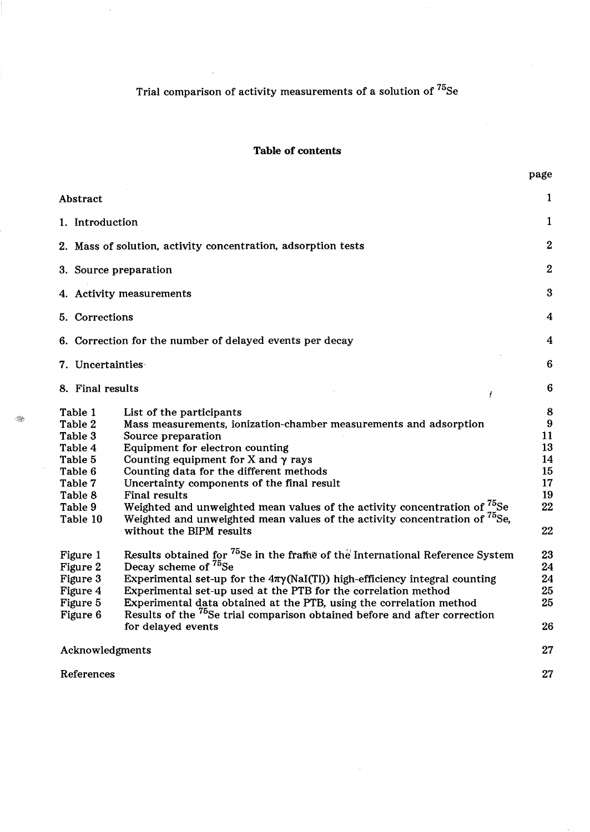# Trial comparison of activity measurements of a solution of  $^{75}$ Se

 $\hat{\mathcal{A}}$ 

 $\bar{\mathcal{A}}$ 

 $\mathcal{L}$ 

|                                                                                                                                                             |                                                                                                                                                                                                                                                                                                                                                                                                                                                                                                                                                                                                                                                                                                                                                                                                                                                       | page                                                                                        |
|-------------------------------------------------------------------------------------------------------------------------------------------------------------|-------------------------------------------------------------------------------------------------------------------------------------------------------------------------------------------------------------------------------------------------------------------------------------------------------------------------------------------------------------------------------------------------------------------------------------------------------------------------------------------------------------------------------------------------------------------------------------------------------------------------------------------------------------------------------------------------------------------------------------------------------------------------------------------------------------------------------------------------------|---------------------------------------------------------------------------------------------|
| Abstract                                                                                                                                                    |                                                                                                                                                                                                                                                                                                                                                                                                                                                                                                                                                                                                                                                                                                                                                                                                                                                       | 1                                                                                           |
| 1. Introduction                                                                                                                                             |                                                                                                                                                                                                                                                                                                                                                                                                                                                                                                                                                                                                                                                                                                                                                                                                                                                       | 1                                                                                           |
|                                                                                                                                                             | 2. Mass of solution, activity concentration, adsorption tests                                                                                                                                                                                                                                                                                                                                                                                                                                                                                                                                                                                                                                                                                                                                                                                         | $\overline{2}$                                                                              |
| 3. Source preparation                                                                                                                                       |                                                                                                                                                                                                                                                                                                                                                                                                                                                                                                                                                                                                                                                                                                                                                                                                                                                       | $\boldsymbol{2}$                                                                            |
|                                                                                                                                                             | 4. Activity measurements                                                                                                                                                                                                                                                                                                                                                                                                                                                                                                                                                                                                                                                                                                                                                                                                                              | 3                                                                                           |
| 5. Corrections                                                                                                                                              |                                                                                                                                                                                                                                                                                                                                                                                                                                                                                                                                                                                                                                                                                                                                                                                                                                                       | 4                                                                                           |
|                                                                                                                                                             | 6. Correction for the number of delayed events per decay                                                                                                                                                                                                                                                                                                                                                                                                                                                                                                                                                                                                                                                                                                                                                                                              | 4                                                                                           |
| 7. Uncertainties                                                                                                                                            |                                                                                                                                                                                                                                                                                                                                                                                                                                                                                                                                                                                                                                                                                                                                                                                                                                                       | 6                                                                                           |
| 8. Final results                                                                                                                                            | Ť                                                                                                                                                                                                                                                                                                                                                                                                                                                                                                                                                                                                                                                                                                                                                                                                                                                     | $6\phantom{1}6$                                                                             |
| Table 1<br>Table 2<br>Table 3<br>Table 4<br>Table 5<br>Table 6<br>Table 7<br>Table 8<br>Table 9<br>Table 10<br>Figure 1<br>Figure 2<br>Figure 3<br>Figure 4 | List of the participants<br>Mass measurements, ionization-chamber measurements and adsorption<br>Source preparation<br>Equipment for electron counting<br>Counting equipment for X and $\gamma$ rays<br>Counting data for the different methods<br>Uncertainty components of the final result<br>Final results<br>Weighted and unweighted mean values of the activity concentration of $^{75}_{\phantom{1}\phantom{1}\phantom{1}}$ Se<br>Weighted and unweighted mean values of the activity concentration of <sup>75</sup> Se,<br>without the BIPM results<br>Results obtained for <sup>75</sup> Se in the frame of the International Reference System<br>Decay scheme of <sup>75</sup> Se<br>Experimental set-up for the $4\pi\gamma$ (NaI(TI)) high-efficiency integral counting<br>Experimental set-up used at the PTB for the correlation method | 8<br>$9\phantom{.}$<br>11<br>13<br>14<br>15<br>17<br>19<br>22<br>22<br>23<br>24<br>24<br>25 |
| Figure 5<br>Figure 6                                                                                                                                        | Experimental data obtained at the PTB, using the correlation method<br>Results of the <sup>75</sup> Se trial comparison obtained before and after correction<br>for delayed events                                                                                                                                                                                                                                                                                                                                                                                                                                                                                                                                                                                                                                                                    | 25<br>26                                                                                    |
| Acknowledgments                                                                                                                                             |                                                                                                                                                                                                                                                                                                                                                                                                                                                                                                                                                                                                                                                                                                                                                                                                                                                       | 27                                                                                          |
| References                                                                                                                                                  |                                                                                                                                                                                                                                                                                                                                                                                                                                                                                                                                                                                                                                                                                                                                                                                                                                                       | 27                                                                                          |

 $\hat{\mathcal{A}}$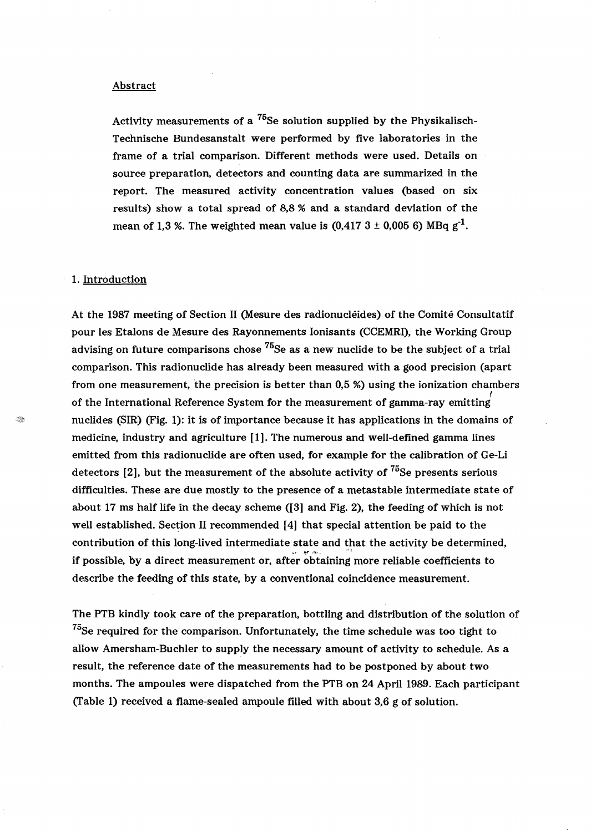#### Abstract

Activity measurements of a  $^{75}$ Se solution supplied by the Physikalisch-Technische Bundesanstalt were performed by five laboratories in the frame of a trial comparison. Different methods were used. Details on source preparation, detectors and counting data are summarized in the report. The measured activity concentration values (based on six results) show a total spread of 8,8 % and a standard deviation of the mean of 1,3 %. The weighted mean value is  $(0.417 \, 3 \pm 0.005 \, 6)$  MBq g<sup>-1</sup>.

#### 1. Introduction

At the 1987 meeting of Section 11 (Mesure des radionucIeides) of the Comite Consultatif pour les Etalons de Mesure des Rayonnements Ionisants (CCEMRI), the Working Group advising on future comparisons chose  $^{75}$ Se as a new nuclide to be the subject of a trial comparison. This radionuclide has already been measured with a good precision (apart from one measurement, the precision is better than 0,5 %) using the ionization chambers f of the International Reference System for the measurement of gamma-ray emitting nuclides (SIR) (Fig. 1): it is of importance because it has applications in the domains of medicine, industry and agriculture [1]. The numerous and well-defined gamma lines emitted from this radionuclide are often used, for example for the calibration of Ge-Li detectors  $[2]$ , but the measurement of the absolute activity of  $^{75}$ Se presents serious difficulties. These are due mostly to the presence of a metastable intermediate state of about 17 ms half life in the decay scheme ([3] and Fig. 2), the feeding of which is not well established. Section II recommended [4] that special attention be paid to the contribution of this long-lived intermediate state and that the activity be determined, if possible, by a direct measurement or, after obtaining more reliable coefficients to describe the feeding of this state, by a conventional coincidence measurement.

The PTB kindly took care of the preparation, bottling and distribution of the solution of  $^{75}$ Se required for the comparison. Unfortunately, the time schedule was too tight to allow Amersham-Buchler to supply the necessary amount of activity to schedule. As a result, the reference date of the measurements had to be postponed by about two months. The ampoules were dispatched from the PTB on 24 April 1989. Each participant (Table 1) received a flame-sealed ampoule filled with about  $3,6$  g of solution.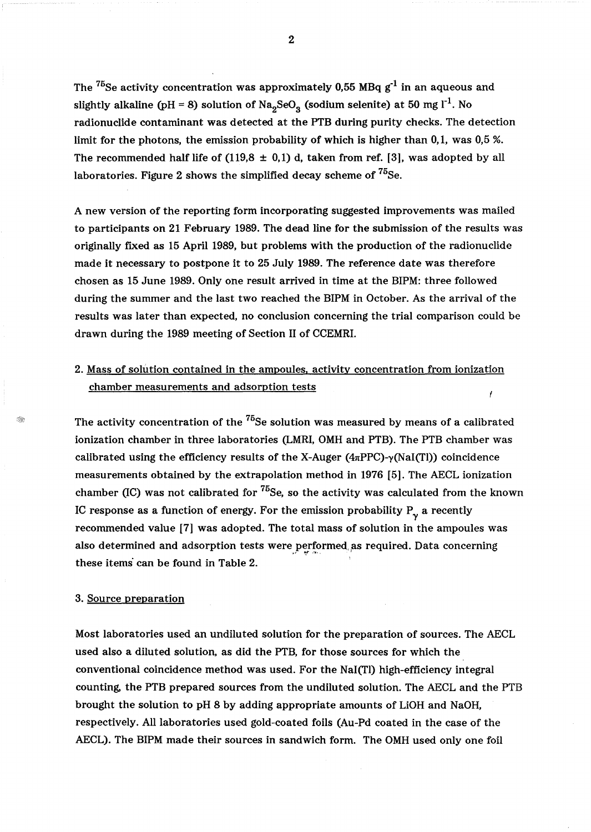The  $^{75}$ Se activity concentration was approximately 0,55 MBq  $g^{-1}$  in an aqueous and slightly alkaline (pH = 8) solution of  $\text{Na}_2\text{SeO}_3$  (sodium selenite) at 50 mg l<sup>-1</sup>. No radionuclide contaminant was detected at the PTB during purity checks. The detection limit for the photons, the emission probability of which is higher than 0,1, was 0,5 %. The recommended half life of  $(119,8 \pm 0,1)$  d, taken from ref. [3], was adopted by all laboratories. Figure 2 shows the simplified decay scheme of  ${}^{75}$ Se.

A new version of the reporting form incorporating suggested improvements was mailed to participants on 21 February 1989. The dead line for the submission of the results was originally fixed as 15 April 1989, but problems with the production of the radionuclide made it necessary to postpone it to 25 July 1989. The reference date was therefore chosen as 15 June 1989. Only one result arrived in time at the BIPM: three followed during the summer and the last two reached the BIPM in October. As the arrival of the results was later than expected, no conclusion concerning the trial comparison could be drawn during the 1989 meeting of Section 11 of CCEMRI.

# 2. Mass of solution contained in the ampoules, activity concentration from ionization chamber measurements and adsorption tests

The activity concentration of the  $^{75}$ Se solution was measured by means of a calibrated ionization chamber in three laboratories (LMRI, OMH and PTB). The PTB chamber was calibrated using the efficiency results of the X-Auger  $(4\pi PPC)$ - $\gamma(NaI(TI))$  coincidence measurements obtained by the extrapolation method in 1976 [5]. The AECL ionization chamber (IC) was not calibrated for  ${}^{75}$ Se, so the activity was calculated from the known IC response as a function of energy. For the emission probability  $P_{\gamma}$  a recently recommended value [7] was adopted. The total mass of solution in the ampoules was also determined and adsorption tests were performed as required. Data concerning these items can be found in Table 2.

#### 3. Source preparation

Most laboratories used an undiluted solution for the preparation of sources. The AECL used also a diluted solution, as did the PTB, for those sources for which the conventional coincidence method was used. For the Nal(Tl) high-efficiency integral counting, the PTB prepared sources from the undiluted solution. The AECL and the PTB brought the solution to pH 8 by adding appropriate amounts of LiOH and NaOH, respectively. All laboratories used gold-coated foils (Au-Pd coated in the case of the AECL). The BIPM made their sources in sandwich form. The OMH used only one foil

2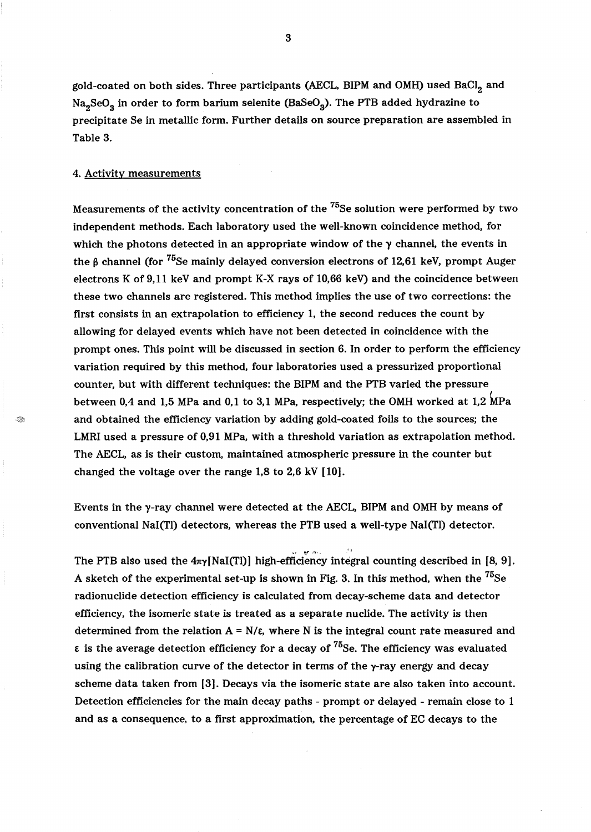gold-coated on both sides. Three participants (AECL, BIPM and OMH) used BaCl, and Na<sub>2</sub>SeO<sub>3</sub> in order to form barium selenite (BaSeO<sub>3</sub>). The PTB added hydrazine to precipitate Se in metallic form. Further details on source preparation are assembled in Table 3.

### 4. Activity measurements

I.

Measurements of the activity concentration of the  $^{75}$ Se solution were performed by two independent methods. Each laboratory used the well-known coincidence method, for which the photons detected in an appropriate window of the  $\gamma$  channel, the events in the  $\beta$  channel (for <sup>75</sup>Se mainly delayed conversion electrons of 12,61 keV, prompt Auger electrons K of 9,11 keY and prompt K-X rays of 10,66 keV) and the coincidence between these two channels are registered. This method implies the use of two corrections: the first consists in an extrapolation to efficiency 1, the second reduces the count by allowing for delayed events which have not been detected in coincidence with the prompt ones. This point will be discussed in section 6. In order to perform the efficiency variation required by this method, four laboratories used a pressurized proportional counter, but with different techniques: the BIPM and the PTB varied the pressure between 0,4 and 1,5 MPa and 0,1 to 3,1 MPa, respectively; the OMH worked at 1,2 MPa and obtained the efficiency variation by adding gold-coated foils to the sources; the LMRI used a pressure of 0,91 MPa, with a threshold variation as extrapolation method. The AECL, as is their custom, maintained atmospheric pressure in the counter but changed the voltage over the range 1,8 to 2,6 kV [10].

Events in the  $\gamma$ -ray channel were detected at the AECL, BIPM and OMH by means of conventional NaI(TI) detectors, whereas the PTB used a well-type NaI(Tl) detector.

The PTB also used the  $4\pi\gamma$ [NaI(Tl)] high-efficiency integral counting described in [8, 9]. A sketch of the experimental set-up is shown in Fig. 3. In this method, when the  $^{75}$ Se radionuclide detection efficiency is calculated from decay-scheme data and detector efficiency, the isomeric state is treated as a separate nuclide. The activity is then determined from the relation  $A = N/\epsilon$ , where N is the integral count rate measured and  $\epsilon$  is the average detection efficiency for a decay of  $^{75}$ Se. The efficiency was evaluated using the calibration curve of the detector in terms of the  $\gamma$ -ray energy and decay scheme data taken from [3]. Decays via the isomeric state are also taken into account. Detection efficiencies for the main decay paths - prompt or delayed - remain close to 1 and as a consequence, to a first approximation, the percentage of EC decays to the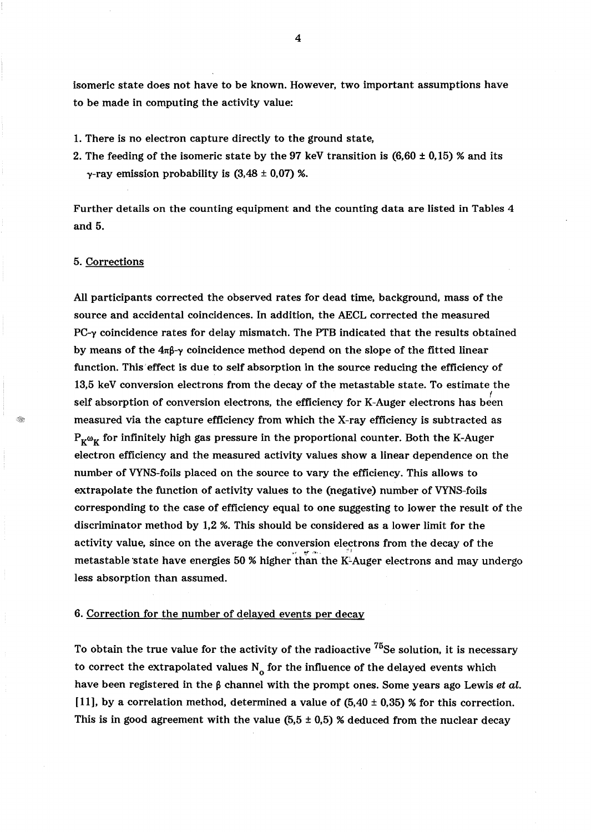isomeric state does not have to be known. However, two important assumptions have to be made in computing the activity value:

- 1. There is no electron capture directly to the ground state,
- 2. The feeding of the isomeric state by the 97 keV transition is  $(6.60 \pm 0.15)$  % and its  $\gamma$ -ray emission probability is  $(3,48 \pm 0,07)$  %.

Further details on the counting equipment and the counting data are listed in Tables 4 and 5.

## 5. Corrections

All participants corrected the observed rates for dead time, background, mass of the source and accidental coincidences. In addition, the AECL corrected the measured  $PC-\gamma$  coincidence rates for delay mismatch. The PTB indicated that the results obtained by means of the  $4\pi\beta-\gamma$  coincidence method depend on the slope of the fitted linear function. This' effect is due to self absorption in the source reducing the efficiency of 13,5 keY conversion electrons from the decay of the metastable state. To estimate the self absorption of conversion electrons, the efficiency for K-Auger electrons has been measured via the capture efficiency from which the X-ray efficiency is subtracted as  $P_{\kappa^{\omega}\kappa}$  for infinitely high gas pressure in the proportional counter. Both the K-Auger electron efficiency and the measured activity values show a linear dependence on the number of VYNS-foils placed on the source to vary the efficiency. This allows to extrapolate the function of activity values to the (negative) number of VYNS-foils corresponding to the case of efficiency equal to one suggesting to lower the result of the discriminator method by 1,2 %. This should be considered as a lower limit for the activity value, since on the average the conversion electrons from the decay of the  $\rm{metastable}$  state have energies 50 % higher than the K-Auger electrons and may undergo less absorption than assumed.

### 6. Correction for the number of delayed events per decay

To obtain the true value for the activity of the radioactive  $^{75}$ Se solution, it is necessary to correct the extrapolated values  $N_{o}$  for the influence of the delayed events which have been registered in the  $\beta$  channel with the prompt ones. Some years ago Lewis et al. [11], by a correlation method, determined a value of  $(5.40 \pm 0.35)$  % for this correction. This is in good agreement with the value  $(5.5 \pm 0.5)$  % deduced from the nuclear decay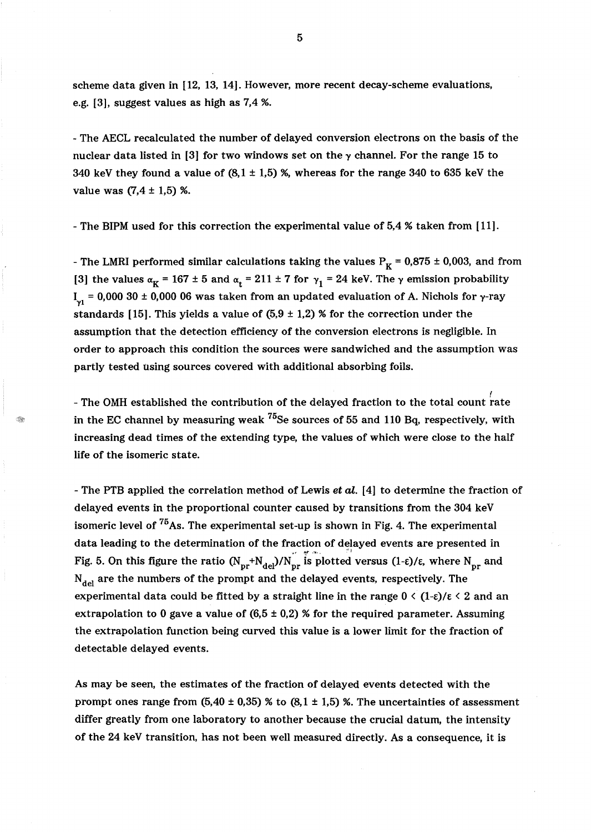scheme data given in [12, 13, 14]. However, more recent decay-scheme evaluations, e.g. [3], suggest values as high as 7,4 %.

- The AECL recalculated the number of delayed conversion electrons on the basis of the nuclear data listed in [3] for two windows set on the  $\gamma$  channel. For the range 15 to 340 keV they found a value of  $(8,1 \pm 1,5)$  %, whereas for the range 340 to 635 keV the value was  $(7.4 \pm 1.5)$  %.

- The BIPM used for this correction the experimental value of 5,4 % taken from [11].

- The LMRI performed similar calculations taking the values  $P_K = 0.875 \pm 0.003$ , and from [3] the values  $\alpha_K = 167 \pm 5$  and  $\alpha_t = 211 \pm 7$  for  $\gamma_1 = 24$  keV. The  $\gamma$  emission probability  $I_{\nu1}$  = 0,000 30 ± 0,000 06 was taken from an updated evaluation of A. Nichols for γ-ray standards [15]. This yields a value of  $(5.9 \pm 1.2)$  % for the correction under the assumption that the detection efficiency of the conversion electrons is negligible. In order to approach this condition the sources were sandwiched and the assumption was partly tested using sources covered with additional absorbing foils.

- The OMH established the contribution of the delayed fraction to the total count rate in the EC channel by measuring weak  $^{75}$ Se sources of 55 and 110 Bq, respectively, with increasing dead times of the extending type, the values of which were close to the half life of the isomeric state.

- The PTB applied the correlation method of Lewis et al. [4] to determine the fraction of delayed events in the proportional counter caused by transitions from the 304 keY isomeric level of  $^{75}$ As. The experimental set-up is shown in Fig. 4. The experimental data leading to the determination of the fraction of delayed events are presented in Fig. 5. On this figure the ratio  $(N_{pr}+N_{del})/N_{pr}$  is plotted versus  $(1-\epsilon)/\epsilon$ , where  $N_{pr}$  and  $N_{del}$  are the numbers of the prompt and the delayed events, respectively. The experimental data could be fitted by a straight line in the range  $0 \leq (1-\varepsilon)/\varepsilon \leq 2$  and an extrapolation to 0 gave a value of  $(6.5 \pm 0.2)$  % for the required parameter. Assuming the extrapolation function being curved this value is a lower limit for the fraction of detectable delayed events.

As may be seen, the estimates of the fraction of delayed events detected with the prompt ones range from  $(5.40 \pm 0.35)$  % to  $(8.1 \pm 1.5)$  %. The uncertainties of assessment differ greatly from one laboratory to another because the crucial datum, the intensity of the 24 keY transition, has not been well measured directly. As a consequence, it is

5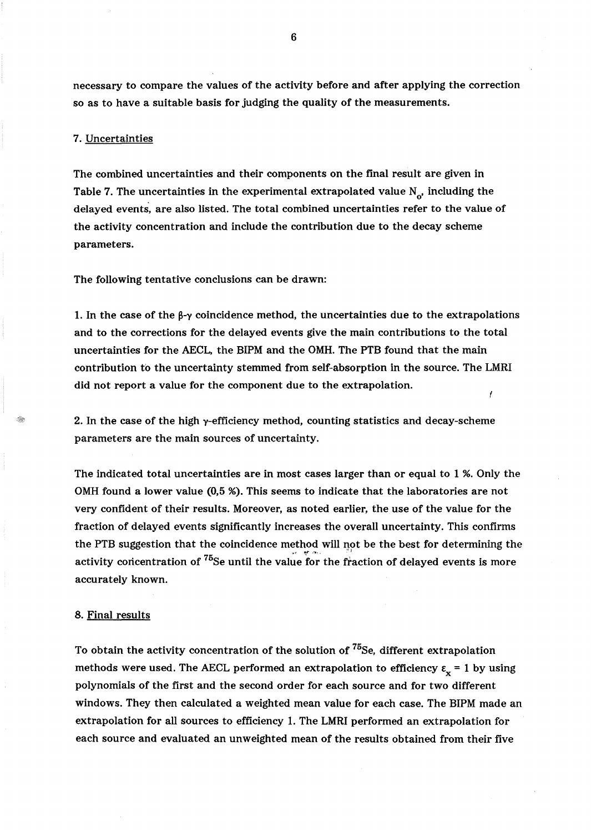necessary to compare the values of the activity before and after applying the correction so as to have a suitable basis for judging the quality of the measurements.

## 7. Uncertainties

The combined uncertainties and their components on the final result are given in Table 7. The uncertainties in the experimental extrapolated value  $N_{\alpha}$ , including the delayed events, are also listed. The total combined uncertainties refer to the value of the activity concentration and include the contribution due to the decay scheme parameters.

The following tentative conclusions can be drawn:

1. In the case of the  $\beta-\gamma$  coincidence method, the uncertainties due to the extrapolations and to the corrections for the delayed events give the main contributions to the total uncertainties for the AECL, the BIPM and the OMH. The PTB found that the main contribution to the uncertainty stemmed from self-absorption in the source. The LMRI did not report a value for the component due to the extrapolation.

2. In the case of the high  $\gamma$ -efficiency method, counting statistics and decay-scheme parameters are the main sources of uncertainty.

The indicated total uncertainties are in most cases larger than or equal to 1 %. Only the OMH found a lower value (0,5 %). This seems to indicate that the laboratories are not very confident of their results. Moreover, as noted earlier, the use of the value for the fraction of delayed events significantly increases the overall uncertainty. This confirms the PTB suggestion that the coincidence method will not be the best for determining the activity concentration of  $^{75}$ Se until the value for the fraction of delayed events is more accurately known.

#### 8. Final results

To obtain the activity concentration of the solution of <sup>75</sup>Se, different extrapolation methods were used. The AECL performed an extrapolation to efficiency  $\epsilon_x = 1$  by using polynomials of the first and the second order for each source and for two different windows. They then calculated a weighted mean value for each case. The BIPM made an extrapolation for all sources to efficiency 1. The LMRI performed an extrapolation for each source and evaluated an unweighted mean of the results obtained from their five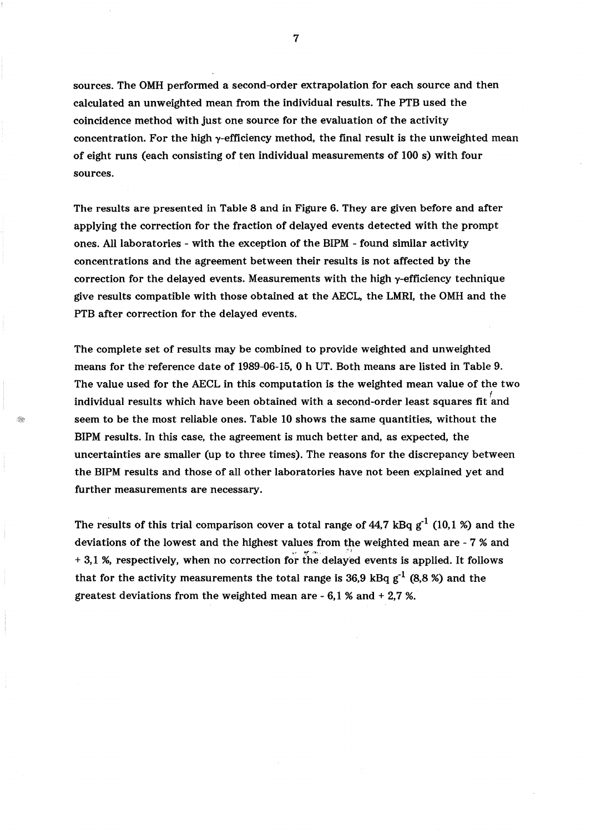sources. The OMH performed a second-order extrapolation for each source and then calculated an unweighted mean from the individual results. The PTB used the coincidence method with just one source for the evaluation of the activity concentration. For the high  $y$ -efficiency method, the final result is the unweighted mean of eight runs (each consisting of ten individual measurements of 100 s) with four sources.

The results are presented in Table 8 and in Figure 6. They are given before and after applying the correction for the fraction of delayed events detected with the prompt ones. All laboratories - with the exception of the BIPM - found similar activity concentrations and the agreement between their results is not affected by the correction for the delayed events. Measurements with the high  $\gamma$ -efficiency technique give results compatible with those obtained at the AECL, the LMRI, the OMH and the PTB after correction for the delayed events.

The complete set of results may be combined to provide weighted and unweighted means for the'reference date of 1989-06-15, 0 h UT. Both means are listed in Table 9. The value used for the AECL in this computation is the weighted mean value of the two individual results which have been obtained with a second-order least squares fit  $^{'}$ and seem to be the most reliable ones. Table 10 shows the same quantities, without the BIPM results. In this case, the agreement is much better and, as expected, the uncertainties are smaller (up to three times). The reasons for the discrepancy between the BIPM results and those of all other laboratories have not been explained yet and further measurements are necessary.

The results of this trial comparison cover a total range of 44,7 kBq  $g^{-1}$  (10,1 %) and the deviations of the lowest and the highest values from the weighted mean are - 7 % and + 3,1 %, respectively, when no correction for the delayed events is applied. It follows that for the activity measurements the total range is 36,9 kBq  $g^{-1}$  (8,8 %) and the greatest deviations from the weighted mean are - 6,1 % and + 2,7 %.

7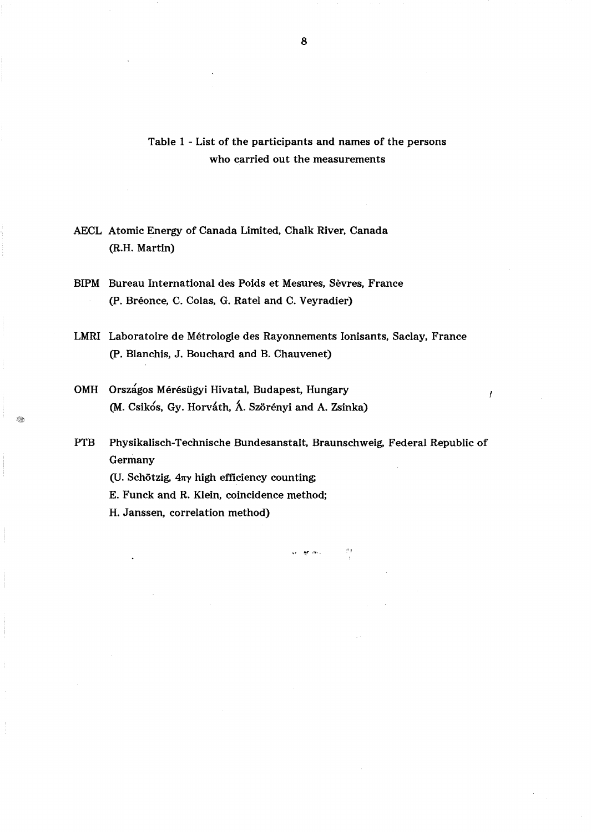Table 1 - List of the participants and names of the persons who carried out the measurements

AECL Atomic Energy of Canada Limited, Chalk River, Canada (R.H. Martin)

BIPM Bureau International des Poids et Mesures, Sevres, France (P. Breonce, C. Colas, G. Ratel and C. Veyradier)

LMRI Laboratoire de Metrologie des Rayonnements Ionisants, Saclay, France (P. Blanchis, J. Bouchard and B. Chauvenet)

OMH Országos Mérésügyi Hivatal, Budapest, Hungary (M. Csikós, Gy. Horváth, Á. Szörényi and A. Zsinka)

PTB Physikalisch-Technische Bundesanstalt, Braunschweig, Federal Republic of Germany

 $\mathbf{r}$  is the set of

I

(U. Schötzig,  $4\pi\gamma$  high efficiency counting;

E. Funck and R. Klein, coincidence method;

H. Janssen, correlation method)

8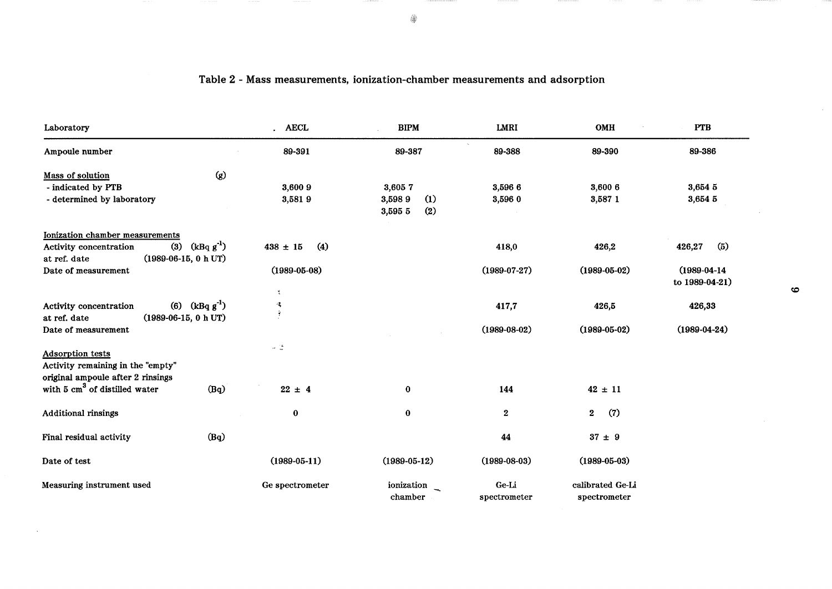| Laboratory                                                                             | <b>AECL</b>                       | <b>BIPM</b>                     | LMRI               | OMH                | <b>PTB</b>                           |
|----------------------------------------------------------------------------------------|-----------------------------------|---------------------------------|--------------------|--------------------|--------------------------------------|
| Ampoule number                                                                         | 89-391                            | 89-387                          | 89-388             | 89-390             | 89-386                               |
| $\left( g\right)$<br>Mass of solution                                                  |                                   |                                 |                    |                    |                                      |
| - indicated by PTB                                                                     | 3,600 9                           | 3,6057                          | 3,596 6            | 3,600 6            | 3,654 5                              |
| - determined by laboratory                                                             | 3,5819                            | (1)<br>3,5989<br>(2)<br>3,595 5 | 3,596 0            | 3,587 1            | 3,654 5                              |
| Ionization chamber measurements                                                        |                                   |                                 |                    |                    |                                      |
| (3) $(kBq g^{-1})$<br>Activity concentration<br>$(1989-06-15, 0 h UT)$<br>at ref. date | $438 \pm 15$<br>$\left( 4\right)$ |                                 | 418,0              | 426,2              | 426,27<br>(5)                        |
| Date of measurement                                                                    | $(1989 - 05 - 08)$                |                                 | $(1989-07-27)$     | $(1989 - 05 - 02)$ | $(1989 - 04 - 14)$<br>to 1989-04-21) |
|                                                                                        | ٤                                 |                                 |                    |                    |                                      |
| (6) $(kBq g^{-1})$<br>Activity concentration<br>$(1989-06-15, 0 h UT)$<br>at ref. date | 嗥<br>Ą                            |                                 | 417,7              | 426,5              | 426,33                               |
| Date of measurement                                                                    |                                   |                                 | $(1989 - 08 - 02)$ | $(1989 - 05 - 02)$ | $(1989 - 04 - 24)$                   |
| <b>Adsorption tests</b>                                                                | $\sim -\frac{1}{m}$               |                                 |                    |                    |                                      |
| Activity remaining in the "empty"<br>original ampoule after 2 rinsings                 |                                   |                                 |                    |                    |                                      |
| with 5 cm <sup>3</sup> of distilled water<br>(Bq)                                      | $22 \pm 4$                        | $\bf{0}$                        | 144                | $42 \pm 11$        |                                      |
| <b>Additional rinsings</b>                                                             | $\bf{0}$                          | $\bf{0}$                        | $\boldsymbol{2}$   | (7)<br>$2^{\circ}$ |                                      |
| (Bq)<br>Final residual activity                                                        |                                   |                                 | 44                 | $37 \pm 9$         |                                      |
| Date of test                                                                           | $(1989 - 05 - 11)$                | $(1989 - 05 - 12)$              | $(1989-08-03)$     | $(1989 - 05 - 03)$ |                                      |
| Measuring instrument used                                                              | Ge spectrometer                   | ionization                      | Ge-Li              | calibrated Ge-Li   |                                      |
|                                                                                        |                                   | chamber                         | spectrometer       | spectrometer       |                                      |

 $\sim$ 

# Table 2 - Mass measurements, ionization-chamber measurements and adsorption

 $\mathcal{L}^{\mathcal{L}}$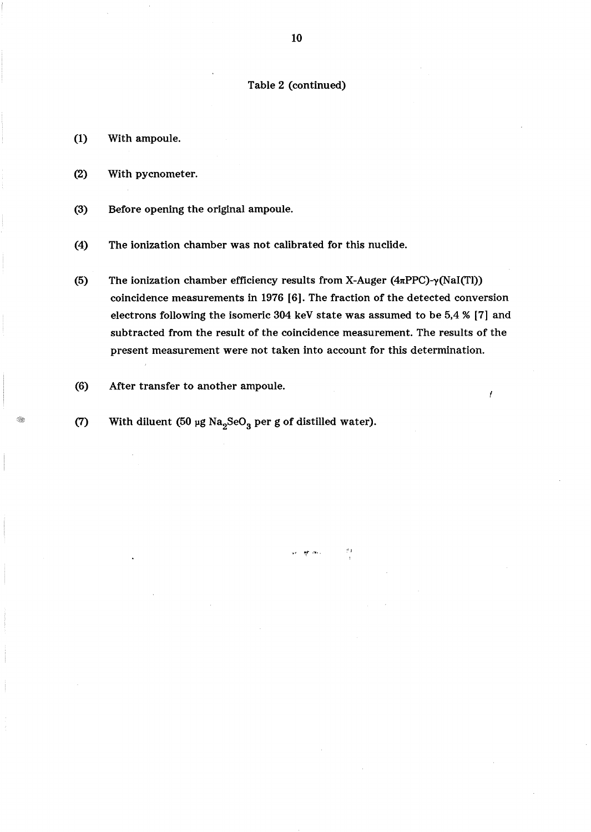# Table 2 (continued)

- (1) With ampoule.
- (2) With pycnometer.
- (3) Before opening the original ampoule.
- (4) The ionization chamber was not calibrated for this nuclide.
- (5) The ionization chamber efficiency results from X-Auger ( $4\pi$ PPC)- $\gamma$ (NaI(Tl)) coincidence measurements in 1976 [6]. The fraction of the detected conversion electrons following the isomeric 304 keY state was assumed to be 5,4 % [7] and subtracted from the result of the coincidence measurement. The results of the present measurement were not taken into account for this determination.

~. "',,. ''''-, ",

ł

- (6) After transfer to another ampoule.
- (7) With diluent (50 µg Na<sub>2</sub>SeO<sub>3</sub> per g of distilled water).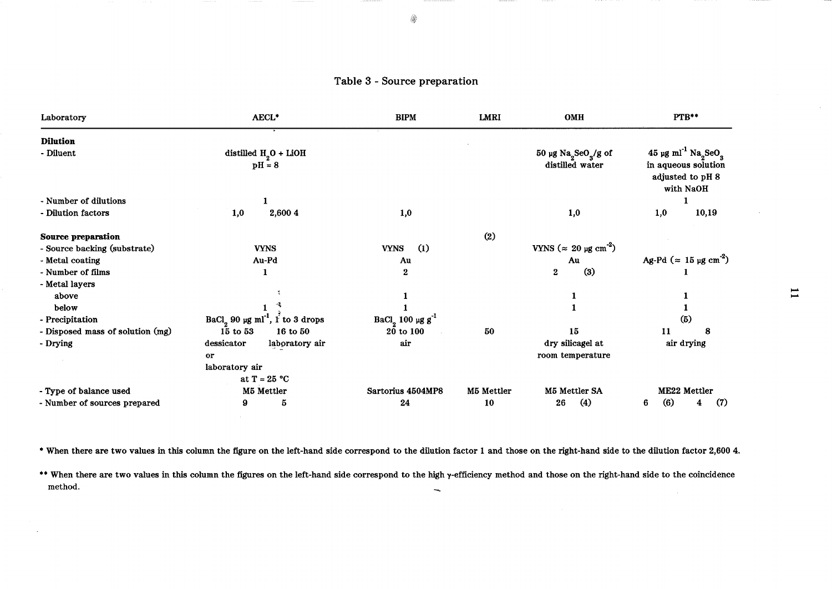| Laboratory                       | AECL <sup>*</sup>                                       | <b>BIPM</b>                       | LMRI       | <b>OMH</b>                                                           | PTB**                                                                                                           |
|----------------------------------|---------------------------------------------------------|-----------------------------------|------------|----------------------------------------------------------------------|-----------------------------------------------------------------------------------------------------------------|
| <b>Dilution</b><br>- Diluent     | distilled $H2O + LiOH$<br>$pH = 8$                      |                                   |            | $50 \mu g$ Na <sub>2</sub> SeO <sub>3</sub> /g of<br>distilled water | 45 µg ml <sup>-1</sup> Na <sub>2</sub> SeO <sub>3</sub><br>in aqueous solution<br>adjusted to pH 8<br>with NaOH |
| - Number of dilutions            |                                                         |                                   |            |                                                                      |                                                                                                                 |
| - Dilution factors               | 1,0<br>2,600 4                                          | 1,0                               |            | 1,0                                                                  | 10,19<br>1,0                                                                                                    |
| <b>Source preparation</b>        |                                                         |                                   | (2)        |                                                                      |                                                                                                                 |
| - Source backing (substrate)     | <b>VYNS</b>                                             | $\left( 1\right)$<br><b>VYNS</b>  |            | VYNS ( $\approx 20 \text{ µg cm}^{-2}$ )                             |                                                                                                                 |
| - Metal coating                  | Au-Pd                                                   | Au                                |            | Au                                                                   | Ag-Pd ( $\approx$ 15 µg cm <sup>-2</sup> )                                                                      |
| - Number of films                |                                                         | 2                                 |            | (3)<br>$\bf{2}$                                                      |                                                                                                                 |
| - Metal layers                   |                                                         |                                   |            |                                                                      |                                                                                                                 |
| above                            |                                                         |                                   |            |                                                                      |                                                                                                                 |
| below                            |                                                         |                                   |            |                                                                      |                                                                                                                 |
| - Precipitation                  | BaCl <sub>2</sub> 90 µg ml <sup>-1</sup> , 1 to 3 drops | BaCl <sub>2</sub> 100 µg $g^{-1}$ |            |                                                                      | (5)                                                                                                             |
| - Disposed mass of solution (mg) | 15 to 53<br>16 to 50                                    | $20$ to $100$                     | 50         | 15                                                                   | 11<br>8                                                                                                         |
| - Drying                         | dessicator<br>laboratory air                            | air                               |            | dry silicagel at                                                     | air drying                                                                                                      |
|                                  | or                                                      |                                   |            | room temperature                                                     |                                                                                                                 |
|                                  | laboratory air                                          |                                   |            |                                                                      |                                                                                                                 |
|                                  | at $T = 25 °C$                                          |                                   |            |                                                                      |                                                                                                                 |
| - Type of balance used           | M5 Mettler                                              | Sartorius 4504MP8                 | M5 Mettler | M5 Mettler SA                                                        | ME22 Mettler                                                                                                    |
| - Number of sources prepared     | 9<br>5                                                  | 24                                | 10         | $\left( 4\right)$<br>26                                              | (6)<br>(7)<br>6<br>4                                                                                            |

\* When there are two values in this column the figure on the left-hand side correspond to the dilution factor 1 and those on the right-hand side to the dilution factor 2,600 4.

 $\sim 10^{-1}$ 

 $\sim$ 

•• When there are two values in this column the figures on the left-hand side correspond to the high y-efficiency method and those on the right-hand side to the coincidence method.  $\overline{\phantom{m}}$ 

 $\sim 10^{-1}$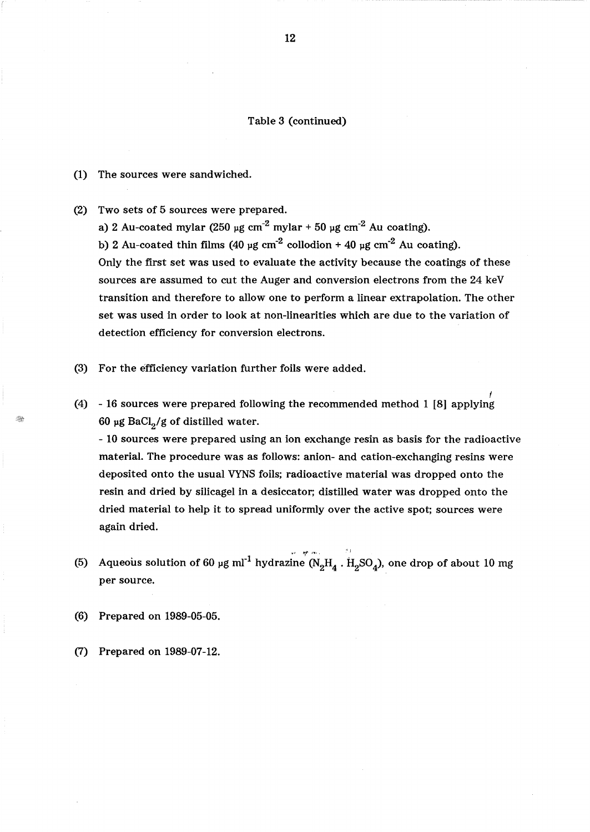## Table 3 (continued)

- (1) The sources were sandwiched.
- (2) Two sets of 5 sources were prepared.
	- a) 2 Au-coated mylar (250  $\mu$ g cm<sup>-2</sup> mylar + 50  $\mu$ g cm<sup>-2</sup> Au coating).

b) 2 Au-coated thin films (40  $\mu$ g cm<sup>-2</sup> collodion + 40  $\mu$ g cm<sup>-2</sup> Au coating). Only the first set was used to evaluate the activity because the coatings of these sources are assumed to cut the Auger and conversion electrons from the 24 keY transition and therefore to allow one to perform a linear extrapolation. The other set was used in order to look at non-linearities which are due to the variation of detection efficiency for conversion electrons.

- (3) For the efficiency variation further foils were added.
- f (4) 16 sources were prepared following the recommended method 1 [8] applying 60 µg BaCl<sub>2</sub>/g of distilled water.

- 10 sources were prepared using an ion exchange resin as basis for the radioactive material. The procedure was as follows: anion- and cation-exchanging resins were deposited onto the usual VYNS foils; radioactive material was dropped onto the resin and dried by silicagel in a desiccator; distilled water was dropped onto the dried material to help it to spread uniformly over the active spot; sources were again dried.

"/

- (5) Aqueous solution of 60 µg ml $^{-1}$  hydrazine (N $_2\rm{H}_{4}$  .  $\rm{H}_{2}SO_4$ ), one drop of about 10 mg per source.
- (6) Prepared on 1989-05-05.
- (7) Prepared on 1989-07-12.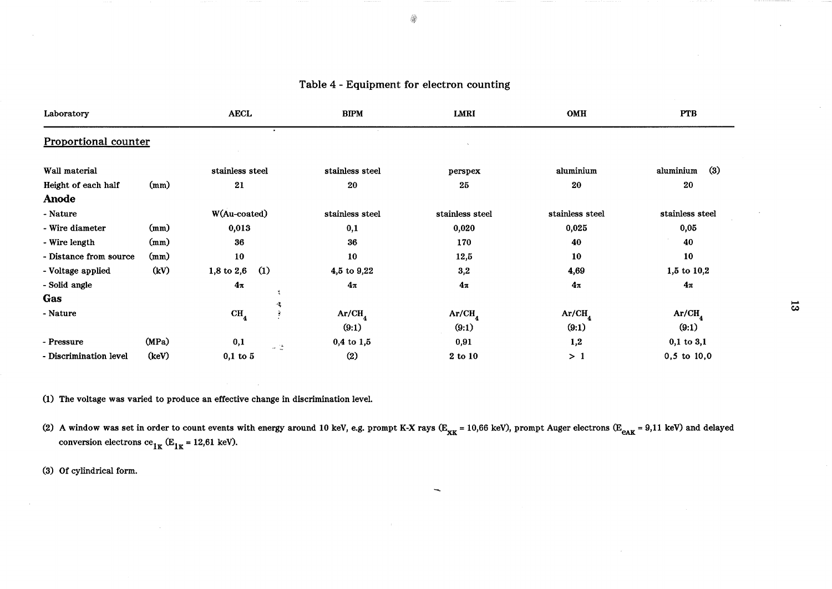# Table 4 - Equipment for electron counting

◈

| Laboratory                  |       | <b>AECL</b>                         | <b>BIPM</b><br>LMRI |                 | OMH                | <b>PTB</b>       |
|-----------------------------|-------|-------------------------------------|---------------------|-----------------|--------------------|------------------|
| <b>Proportional counter</b> |       |                                     |                     |                 |                    |                  |
| Wall material               |       | stainless steel                     | stainless steel     | perspex         | aluminium          | (3)<br>aluminium |
| Height of each half         | (mm)  | 21                                  | 20                  | 25              | 20                 | 20               |
| <b>Anode</b>                |       |                                     |                     |                 |                    |                  |
| - Nature                    |       | W(Au-coated)                        | stainless steel     | stainless steel | stainless steel    | stainless steel  |
| - Wire diameter             | (mm)  | 0,013                               | 0,1                 | 0,020           | 0,025              | 0,05             |
| - Wire length               | (mm)  | 36                                  | 36                  | 170             | 40                 | 40               |
| - Distance from source      | (mm)  | 10                                  | 10                  | 12,5            | 10                 | 10               |
| - Voltage applied           | (kV)  | $1,8$ to $2,6$<br>$\left( 1\right)$ | 4,5 to 9,22         | 3,2             | 4,69               | $1,5$ to $10,2$  |
| - Solid angle               |       | $4\pi$                              | $4\pi$              | $4\pi$          | $4\pi$             | $4\pi$           |
| Gas                         |       |                                     |                     |                 |                    |                  |
| - Nature                    |       | CH <sub>4</sub><br>Ŗ                | Ar/CH <sub>4</sub>  | $Ar/CH_a$       | Ar/CH <sub>4</sub> | Ar/CH            |
|                             |       |                                     | (9:1)               | (9:1)           | (9:1)              | (9:1)            |
| - Pressure                  | (MPa) | 0,1<br>$\omega$ (2)                 | $0,4$ to $1,5$      | 0,91            | 1,2                | $0,1$ to $3,1$   |
| - Discrimination level      | (keV) | $0,1$ to $5$                        | (2)                 | 2 to 10         | >1                 | $0,5$ to $10,0$  |

(1) The voltage was varied to produce an effective change in discrimination level.

(2) A window was set in order to count events with energy around 10 keV, e.g. prompt K-X rays ( $E_{\text{KK}}$  = 10,66 keV), prompt Auger electrons ( $E_{\text{eAK}}$  = 9,11 keV) and delayed conversion electrons  $ce_{1K}$  (E<sub>1K</sub> = 12,61 keV).

(3) Of cylindrical form.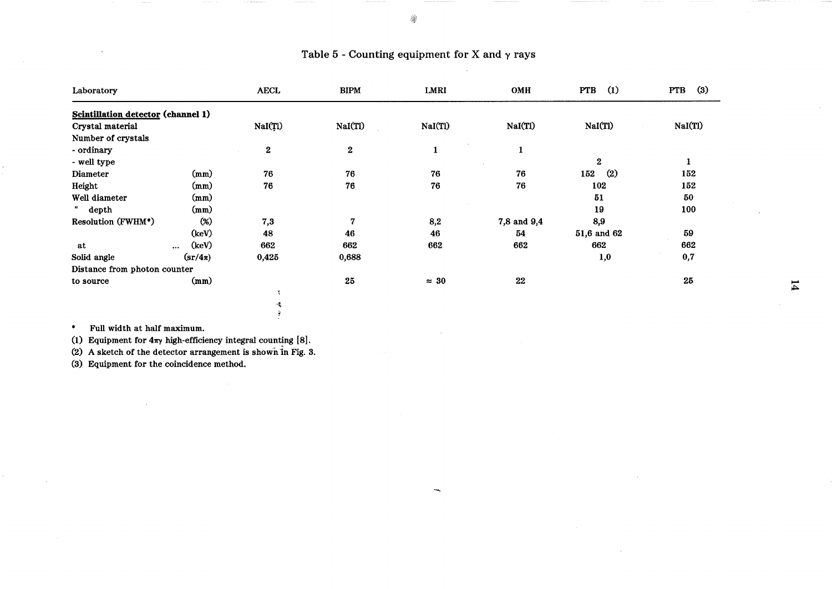| Laboratory                                |                                      | <b>AECL</b>      | <b>BIPM</b>    | LMRI         | OMH         | $\Omega$<br><b>PTB</b>   | $\left(3\right)$<br><b>PTB</b> |
|-------------------------------------------|--------------------------------------|------------------|----------------|--------------|-------------|--------------------------|--------------------------------|
| <b>Scintillation detector (channel 1)</b> |                                      |                  |                |              |             |                          |                                |
| Crystal material                          |                                      | NaI(Tl)          | NaI(Tl)        | NaI(Tl)      | NaI(Tl)     | NaI(Tl)                  | NaI(Tl)                        |
| Number of crystals                        |                                      |                  |                |              |             |                          |                                |
| - ordinary                                |                                      | $\boldsymbol{2}$ | $\bf 2$        | $\mathbf{1}$ | 1           |                          |                                |
| - well type                               |                                      |                  |                |              |             | $\mathbf{2}$             | 1                              |
| Diameter                                  | (mm)                                 | 76               | 76             | 76           | 76          | $\left( 2\right)$<br>152 | 152                            |
| Height                                    | (mm)                                 | 76               | 76             | 76           | 76          | 102                      | 152                            |
| Well diameter                             | (mm)                                 |                  |                |              |             | 51                       | 50                             |
| depth                                     | (mm)                                 |                  |                |              |             | 19                       | 100                            |
| Resolution (FWHM*)                        | $(\%)$                               | 7,3              | $\overline{7}$ | 8,2          | 7,8 and 9,4 | 8,9                      |                                |
|                                           | (key)                                | 48               | 46             | 46           | 54          | 51,6 and 62              | 59                             |
| at                                        | (keV)<br>                            | 662              | 662            | 662          | 662         | 662                      | 662                            |
| Solid angle                               | $\left(\frac{\text{s}}{1\pi}\right)$ | 0,425            | 0,688          |              |             | 1,0                      | 0,7                            |
| Distance from photon counter              |                                      |                  |                |              |             |                          |                                |
| to source                                 | (mm)                                 |                  | $25\,$         | $\approx 30$ | 22          |                          | 25                             |
|                                           |                                      |                  |                |              |             |                          |                                |
|                                           |                                      | 喂                |                |              |             |                          |                                |

# Table 5 - Counting equipment for X and  $\gamma$  rays

\* Full width at half maximum.

(1) Equipment for  $4\pi\gamma$  high-efficiency integral counting [8].

(2) A sketch of the detector arrangement is shown in Fig. 3.

 $\mathfrak{g}$ 

(3) Equipment for the coincidence method.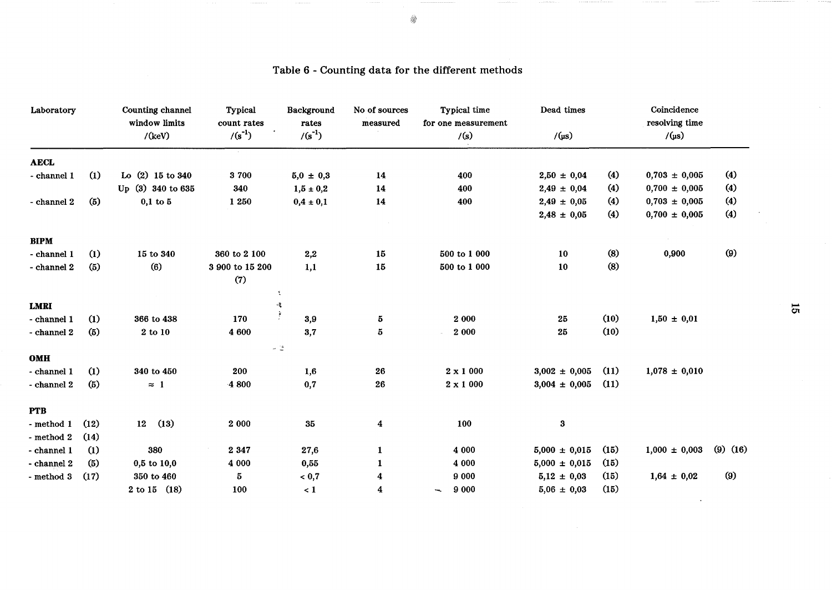| Laboratory          |                   | Counting channel<br>window limits<br>/(keV) | Typical<br>count rates<br>$/(s^{-1})$ | Background<br>rates<br>$/(s^{-1})$ | No of sources<br>measured | Typical time<br>for one measurement<br>/(s) | Dead times<br>$/$ (µs) |      | Coincidence<br>resolving time<br>$/$ (µs) |              |                |
|---------------------|-------------------|---------------------------------------------|---------------------------------------|------------------------------------|---------------------------|---------------------------------------------|------------------------|------|-------------------------------------------|--------------|----------------|
| <b>AECL</b>         |                   |                                             | $\sim$                                |                                    |                           |                                             |                        |      |                                           |              |                |
| - channel 1         | $\left( 1\right)$ | Lo (2) 15 to 340                            | 3700                                  | $5,0 \pm 0,3$                      | 14                        | 400                                         | $2,50 \pm 0,04$        | (4)  | $0,703 \pm 0,005$                         | (4)          |                |
|                     |                   | Up (3) 340 to 635                           | 340                                   | $1,5 \pm 0,2$                      | 14                        | 400                                         | $2,49 \pm 0,04$        | (4)  | $0,700 \pm 0,005$                         | (4)          |                |
| - channel 2         | (5)               | $0,1$ to $5$                                | 1 250                                 | $0,4 \pm 0,1$                      | 14                        | 400                                         | $2,49 \pm 0,05$        | (4)  | $0,703 \pm 0,005$                         | (4)          |                |
|                     |                   |                                             |                                       |                                    |                           |                                             | $2,48 \pm 0,05$        | (4)  | $0,700 \pm 0,005$                         | (4)          |                |
| <b>BIPM</b>         |                   |                                             |                                       |                                    |                           |                                             |                        |      |                                           |              |                |
| - channel 1         | (1)               | 15 to 340                                   | 360 to 2 100                          | 2,2                                | ${\bf 15}$                | 500 to 1 000                                | 10                     | (8)  | 0,900                                     | (9)          |                |
| - channel 2         | (5)               | (6)                                         | 3 900 to 15 200                       | 1,1                                | 15                        | 500 to 1 000                                | ${\bf 10}$             | (8)  |                                           |              |                |
|                     |                   |                                             | (7)                                   |                                    |                           |                                             |                        |      |                                           |              |                |
|                     |                   |                                             |                                       | A.                                 |                           |                                             |                        |      |                                           |              |                |
| <b>LMRI</b>         |                   |                                             |                                       | 嗥                                  |                           |                                             |                        |      |                                           |              | $\overline{5}$ |
| - channel 1         | (1)               | 366 to 438                                  | 170                                   | $\frac{1}{2}$<br>3,9               | 5                         | 2 000                                       | 25                     | (10) | $1,50 \pm 0,01$                           |              |                |
| - channel 2         | (5)               | 2 to 10                                     | 4 600                                 | 3,7                                | $\bf 5$                   | 2 000                                       | 25                     | (10) |                                           |              |                |
| OMH                 |                   |                                             |                                       | $\omega^{-1} \frac{a}{m}$          |                           |                                             |                        |      |                                           |              |                |
| - channel 1         | (1)               | 340 to 450                                  | 200                                   | 1,6                                | 26                        | $2 \times 1000$                             | $3,002 \pm 0,005$      | (11) | $1,078 \pm 0,010$                         |              |                |
| - channel 2         | (5)               | $\approx$ 1                                 | 4 800                                 | 0,7                                | 26                        | $2 \times 1000$                             | $3,004 \pm 0,005$      | (11) |                                           |              |                |
|                     |                   |                                             |                                       |                                    |                           |                                             |                        |      |                                           |              |                |
| <b>PTB</b>          |                   |                                             |                                       |                                    |                           |                                             |                        |      |                                           |              |                |
| $-$ method $1$      | (12)              | (13)<br>12                                  | 2 0 0 0                               | $35\,$                             | $\boldsymbol{4}$          | 100                                         | 3                      |      |                                           |              |                |
| - method $2\,$      | (14)              |                                             |                                       |                                    |                           |                                             |                        |      |                                           |              |                |
| - channel 1         | (1)               | 380                                         | 2 3 4 7                               | 27,6                               | $\mathbf 1$               | 4 000                                       | $5,000 \pm 0,015$      | (15) | $1,000 \pm 0,003$                         | $(9)$ $(16)$ |                |
| - channel 2         | (5)               | $0,5$ to $10,0$                             | 4 000                                 | 0,55                               | $\mathbf{1}$              | 4 000                                       | $5,000 \pm 0,015$      | (15) |                                           |              |                |
| - method $\sqrt{3}$ | (17)              | 350 to 460                                  | 5                                     | ${}_{<} 0,7$                       | 4                         | 9 0 0 0                                     | $5,12 \pm 0,03$        | (15) | $1,64 \pm 0,02$                           | (9)          |                |
|                     |                   | $2 \text{ to } 15$ (18)                     | 100                                   | $\leq 1$                           | 4                         | 9 0 0 0<br>∽.                               | $5,06 \pm 0,03$        | (15) |                                           |              |                |

# Table 6 - Counting data for the different methods

 $\overline{\mathbf{c}}$ 

 $\sim$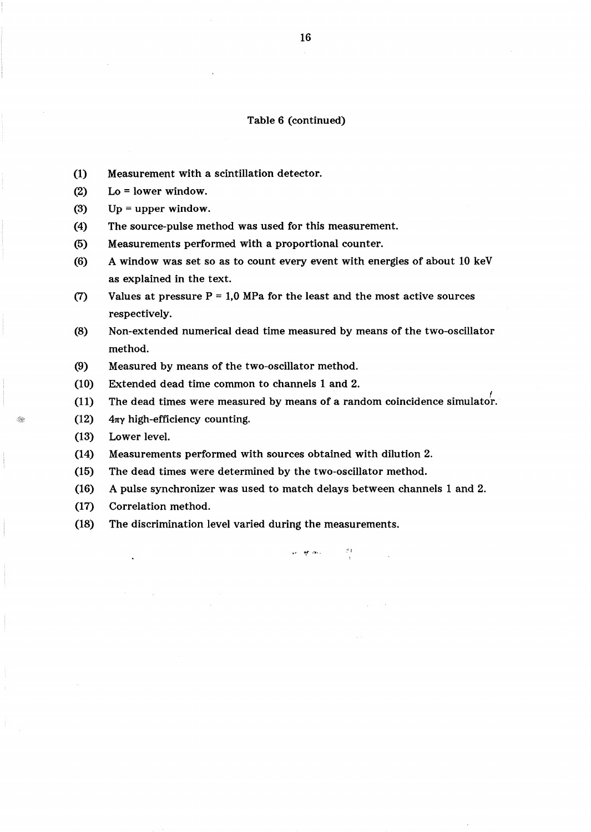## Table 6 (continued)

- (1) Measurement with a scintillation detector.
- (2) Lo = lower window.
- (3)  $Up = upper$  window.
- (4) The source-pulse method was used for this measurement.
- (5) Measurements performed with a proportional counter.
- (6) A window was set so as to count every event with energies of about 10 keV as explained in the text.
- (7) Values at pressure  $P = 1.0$  MPa for the least and the most active sources respectively.
- (8) Non-extended numerical dead time measured by means of the two-oscillator method.
- (9) Measured by means of the two-oscillator method.
- (10) Extended dead time common to channels 1 and 2.
- (11) The dead times were measured by means of a random coincidence simulator.
- (12)  $4\pi\gamma$  high-efficiency counting.
- (13) Lower level.
- (14) Measurements performed with sources obtained with dilution 2.
- (15) The dead times were determined by the two-oscillator method.
- (16) A pulse synchronizer was used to match delays between channels 1 and 2.
- (17) Correlation method.
- (18) The discrimination level varied during the measurements.

 $\sim$   $\sim$   $\sim$   $\sim$   $\sim$   $\sim$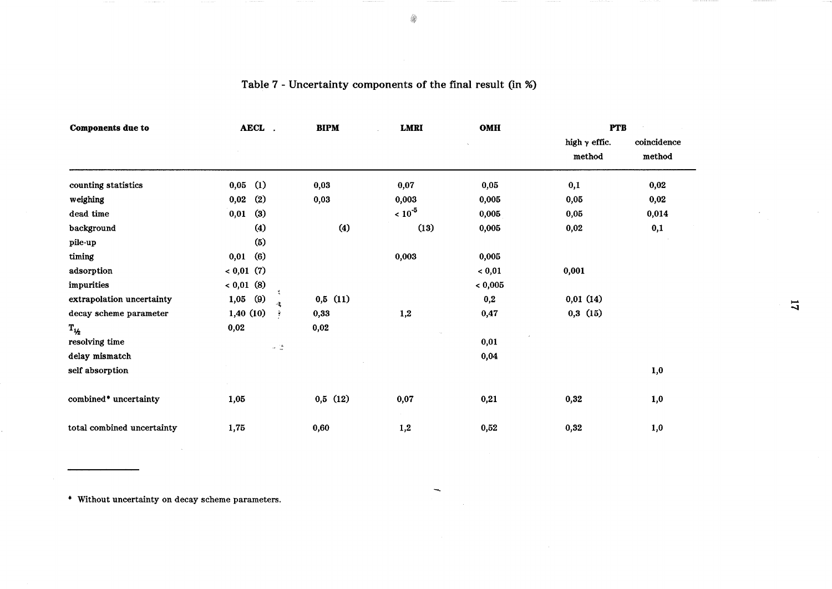| <b>Components due to</b>          | AECL.                     | <b>BIPM</b> | <b>LMRI</b> | OMH         | <b>PTB</b>                     |                       |                |
|-----------------------------------|---------------------------|-------------|-------------|-------------|--------------------------------|-----------------------|----------------|
|                                   |                           |             |             |             | high $\gamma$ effic.<br>method | coincidence<br>method |                |
| counting statistics               | (1)<br>0,05               | 0,03        | 0,07        | 0,05        | 0,1                            | 0,02                  |                |
| weighing                          | $\left( 2\right)$<br>0,02 | 0,03        | 0,003       | 0,005       | 0,05                           | 0,02                  |                |
| dead time                         | 0,01<br>(3)               |             | $~10^{-5}$  | 0,005       | 0,05                           | 0,014                 |                |
| background                        | (4)                       | (4)         | (13)        | 0,005       | 0,02                           | 0,1                   |                |
| pile-up                           | (5)                       |             |             |             |                                |                       |                |
| timing                            | (6)<br>0,01               |             | 0,003       | 0,005       |                                |                       |                |
| adsorption                        | 0,01(7)                   |             |             | < 0,01      | 0,001                          |                       |                |
| impurities                        | 0,01(8)                   |             |             | ${}< 0,005$ |                                |                       |                |
| extrapolation uncertainty         | (9)<br>1,05               | 0,5(11)     |             | 0,2         | 0,01(14)                       |                       | $\overline{u}$ |
| decay scheme parameter            | 1,40(10)                  | 0,33        | 1,2         | 0,47        | 0,3(15)                        |                       |                |
| $\mathbf{T}_{1/2}$                | 0,02                      | 0,02        |             |             |                                |                       |                |
| resolving time                    | $\omega=\frac{1}{2m}$     |             |             | 0,01        |                                |                       |                |
| delay mismatch                    |                           |             |             | 0,04        |                                |                       |                |
| self absorption                   |                           |             |             |             |                                | 1,0                   |                |
| combined <sup>*</sup> uncertainty | 1,05                      | 0,5(12)     | 0,07        | 0,21        | 0,32                           | 1,0                   |                |
| total combined uncertainty        | 1,75                      | 0,60        | 1,2         | 0,52        | 0,32                           | 1,0                   |                |

# Table 7 - Uncertainty components of the final result (in %)

• Without uncertainty on decay scheme parameters.

4

 $\sim$ 

 $\sim 10^{-1}$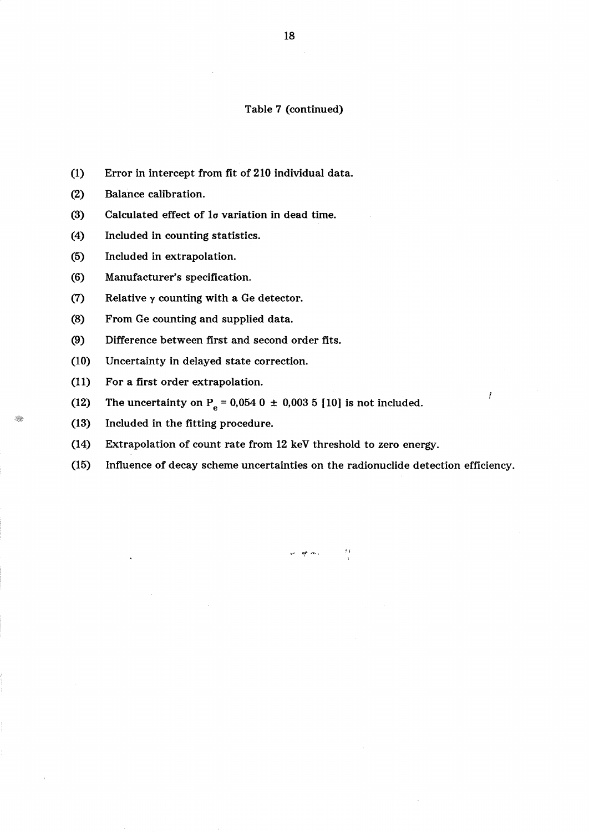## Table 7 (continued)

- (1) Error in intercept from fit of 210 individual data.
- (2) Balance calibration.
- (3) Calculated effect of 10 variation in dead time.
- (4) Included in counting statistics.
- (5) Included in extrapolation.
- (6) Manufacturer's specification.
- (7) Relative  $\gamma$  counting with a Ge detector.
- (8) From Ge counting and supplied data.
- (9) Difference between first and second order fits.
- (10) Uncertainty in delayed state correction.
- (11) For a first order extrapolation.
- (12) The uncertainty on  $P_e = 0.054$  0  $\pm$  0.003 5 [10] is not included.
- (13) Included in the fitting procedure.

 $\mathbb{R}$ 

- (14) Extrapolation of count rate from 12 keY threshold to zero energy.
- (15) Influence of decay scheme uncertainties on the radionuclide detection efficiency.

 $\sim$  10  $\mu$  .

I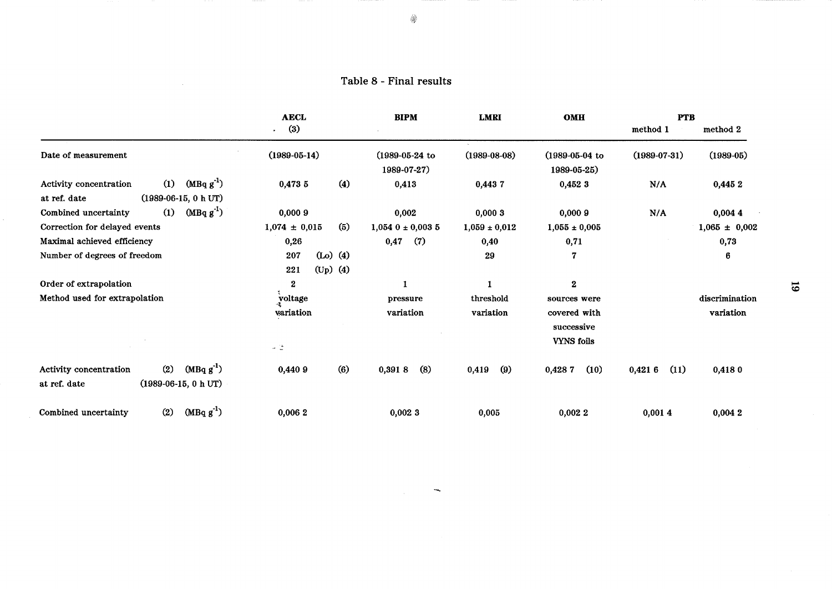Table 8 - Final results

 $\sim$ 

|                                                                                          | <b>AECL</b>                            | <b>BIPM</b>                          | <b>LMRI</b>       | OMH                                             | <b>PTB</b>         |                   |
|------------------------------------------------------------------------------------------|----------------------------------------|--------------------------------------|-------------------|-------------------------------------------------|--------------------|-------------------|
|                                                                                          | (3)<br>$\ddot{\phantom{0}}$            |                                      |                   |                                                 | method 1           | method 2          |
| Date of measurement                                                                      | $(1989-05-14)$                         | $(1989 - 05 - 24)$ to<br>1989-07-27) | $(1989-08-08)$    | $(1989 - 05 - 04)$<br>1989-05-25)               | $(1989 - 07 - 31)$ | $(1989-05)$       |
| $(MBqg^{-1})$<br>(1)<br>Activity concentration<br>$(1989-06-15, 0 h UT)$<br>at ref. date | (4)<br>0,4735                          | 0,413                                | 0,4437            | 0,452 3                                         | N/A                | 0,4452            |
| $(MBqg^{-1})$<br>(1)<br>Combined uncertainty                                             | 0,0009                                 | 0,002                                | 0,0003            | 0,0009                                          | N/A                | 0,0044            |
| Correction for delayed events                                                            | (5)<br>$1,074 \pm 0,015$               | $1,054$ 0 ± 0,003 5                  | $1,059 \pm 0,012$ | $1,055 \pm 0,005$                               |                    | $1,065 \pm 0,002$ |
| Maximal achieved efficiency                                                              | 0,26                                   | 0,47<br>(7)                          | 0,40              | 0,71                                            |                    | 0,73              |
| Number of degrees of freedom                                                             | $(Lo)$ (4)<br>207<br>$(Up)$ (4)<br>221 |                                      | 29                | 7                                               |                    | 6                 |
| Order of extrapolation                                                                   | $\mathbf{2}$                           | $\mathbf{1}$                         |                   | $\mathbf{2}$                                    |                    |                   |
| Method used for extrapolation                                                            | voltage                                | pressure                             | threshold         | sources were                                    |                    | discrimination    |
|                                                                                          | variation<br>$\omega=\frac{16}{36}$    | variation                            | variation         | covered with<br>successive<br><b>VYNS</b> foils |                    | variation         |
| $(MBqg^{-1})$<br>(2)<br>Activity concentration<br>$(1989-06-15, 0 h UT)$<br>at ref. date | (6)<br>0,4409                          | (8)<br>0,3918                        | (9)<br>0,419      | 0,4287<br>(10)                                  | (11)<br>0,4216     | 0,4180            |
| $(MBqg-1)$<br>(2)<br>Combined uncertainty                                                | 0,0062                                 | 0,0023                               | 0,005             | 0,0022                                          | 0,0014             | 0,0042            |

 $\overline{\phantom{a}}$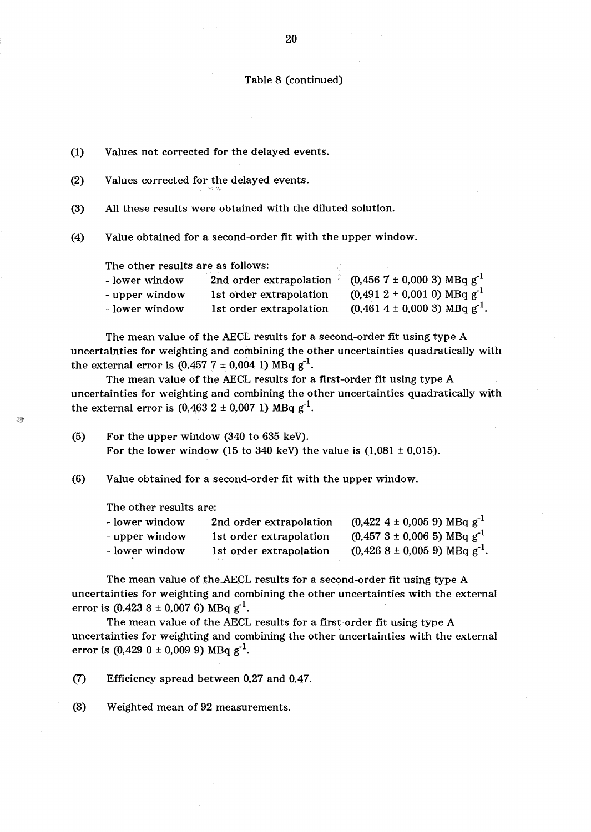## Table 8 (continued)

| (1) | Values not corrected for the delayed events.                 |                                                                                                                     |                                                                                      |  |  |  |  |
|-----|--------------------------------------------------------------|---------------------------------------------------------------------------------------------------------------------|--------------------------------------------------------------------------------------|--|--|--|--|
| (2) | Values corrected for the delayed events.                     |                                                                                                                     |                                                                                      |  |  |  |  |
| (3) | All these results were obtained with the diluted solution.   |                                                                                                                     |                                                                                      |  |  |  |  |
| (4) | Value obtained for a second-order fit with the upper window. |                                                                                                                     |                                                                                      |  |  |  |  |
|     | The other results are as follows:                            |                                                                                                                     |                                                                                      |  |  |  |  |
|     | - lower window                                               | 2nd order extrapolation                                                                                             | $(0,456 \ 7 \pm 0,000 \ 3) \ \text{MBq g}^{-1}$                                      |  |  |  |  |
|     | - upper window                                               | 1st order extrapolation                                                                                             | $(0.491 \ 2 \pm 0.001 \ 0) \ \text{MBq g}^{-1}$                                      |  |  |  |  |
|     | - lower window                                               | 1st order extrapolation                                                                                             | $(0.461 \ 4 \pm 0.000 \ 3) \text{ MBq g}^{-1}$ .                                     |  |  |  |  |
|     |                                                              | The mean value of the AECL results for a second-order fit using type A                                              |                                                                                      |  |  |  |  |
|     |                                                              |                                                                                                                     | uncertainties for weighting and combining the other uncertainties quadratically with |  |  |  |  |
|     |                                                              | the external error is $(0.457 \ 7 \pm 0.004 \ 1) \ \text{MBq g}^{-1}$ .                                             |                                                                                      |  |  |  |  |
|     |                                                              | $\pi$ , and the contract of the contract of $\pi$ and $\pi$ and $\pi$ and $\pi$ and $\pi$ and $\pi$ $\pi$ and $\pi$ |                                                                                      |  |  |  |  |

The mean value of the AECL results for a first-order fit using type A uncertainties for weighting and combining the other uncertainties quadratically witth the external error is  $(0.463 \ 2 \pm 0.007 \ 1) \ MBq g^{-1}$ .

(5) For the upper window (340 to 635 keY). For the lower window (15 to 340 keV) the value is  $(1,081 \pm 0,015)$ .

(6) Value obtained for a second-order fit with the upper window.

The other results are:

| - lower window | 2nd order extrapolation | $(0.422 \ 4 \pm 0.005 \ 9) \text{ MBq g}^{-1}$             |
|----------------|-------------------------|------------------------------------------------------------|
| - upper window | 1st order extrapolation | $(0.457 \ 3 \pm 0.006 \ 5) \ \text{MBq g}^{-1}$            |
| - lower window | 1st order extrapolation | $\lceil (0.426 \t{8} \pm 0.005 \t{9}) \t{MBq} \t{g}^{-1}.$ |

The mean value of the.AECL results for a second-order fit using type A uncertainties for weighting and combining the other uncertainties with the external error is  $(0.423 \ 8 \pm 0.007 \ 6) \text{ MBq g}^{-1}$ .

The mean value of the AECL results for a first-order fit using type A uncertainties for weighting and combining the other uncertainties with the external error is  $(0,429 \ 0 \pm 0,009 \ 9) \ MBq g^{-1}$ .

(7) Efficiency spread between 0,27 and 0,47.

(8) Weighted mean of 92. measurements.

20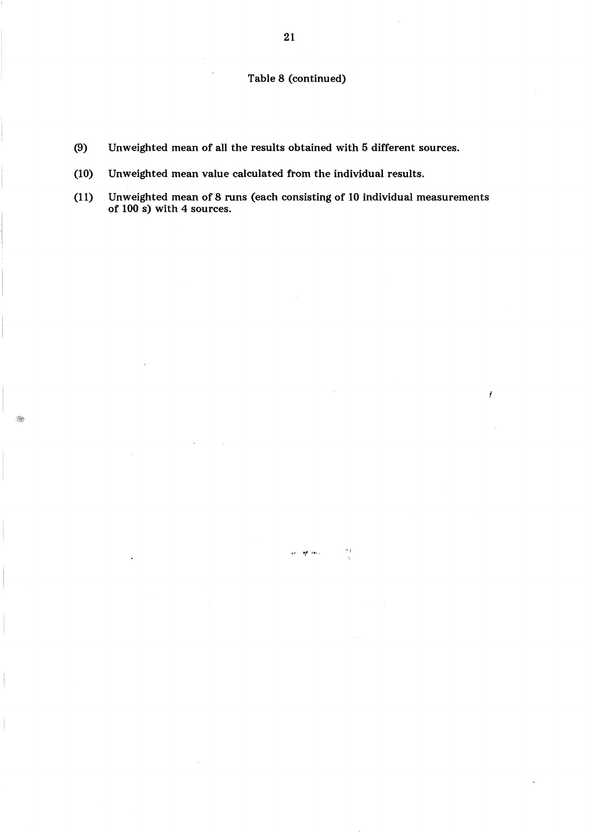# Table 8 (continued)

- (9) Unweighted mean of all the results obtained with 5 different sources.
- (10) Unweighted mean value calculated from the individual results.
- (11) Unweighted mean of 8 runs (each consisting of 10 individual measurements of 100 s) with 4 sources.

 $\omega$  ,  $\sim$  .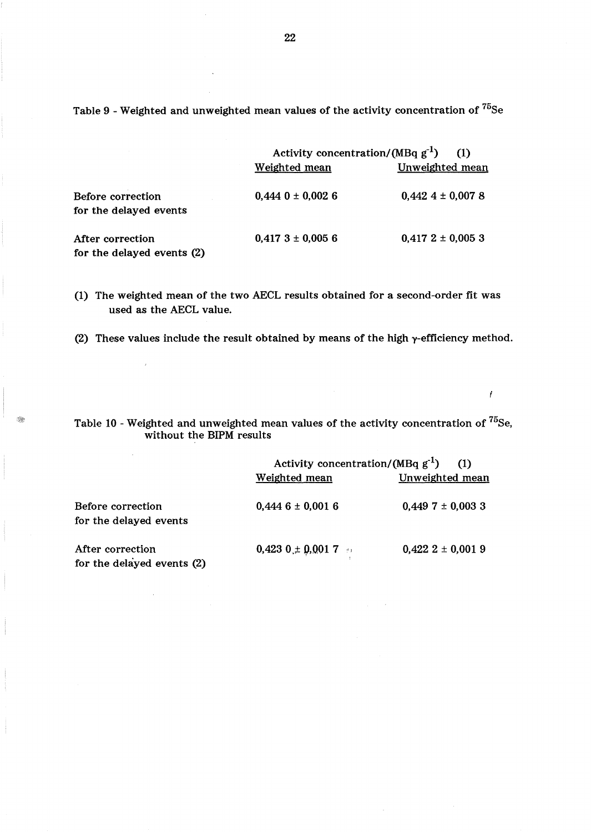Table 9 - Weighted and unweighted mean values of the activity concentration of  $^{75}$ Se

|                                                | Activity concentration/(MBq $g^{-1}$ )<br>(1) |                        |  |
|------------------------------------------------|-----------------------------------------------|------------------------|--|
|                                                | Weighted mean                                 | <b>Unweighted mean</b> |  |
| Before correction<br>for the delayed events    | $0,444$ 0 ± 0,002 6                           | $0,442$ 4 ± 0,007 8    |  |
| After correction<br>for the delayed events (2) | $0,417$ 3 ± 0,005 6                           | $0.4172 \pm 0.0053$    |  |

(1) The weighted mean of the two AECL results obtained for a second-order fit was used as the AECL value.

(2) These values include the result obtained by means of the high  $\gamma$ -efficiency method.

 $\mathcal{A}$ 

Table 10 - Weighted and unweighted mean values of the activity concentration of <sup>75</sup>Se, without the BIPM results

 $\mathcal{I}$ 

|                                                | Activity concentration/(MBq $g^{-1}$ ) (1) |                     |
|------------------------------------------------|--------------------------------------------|---------------------|
|                                                | Weighted mean                              | Unweighted mean     |
| Before correction<br>for the delayed events    | $0,4446 \pm 0,0016$                        | $0,449$ 7 ± 0,003 3 |
| After correction<br>for the delayed events (2) | $0,423$ $0 \pm 0,001$ 7                    | $0.422$ 2 ± 0.001 9 |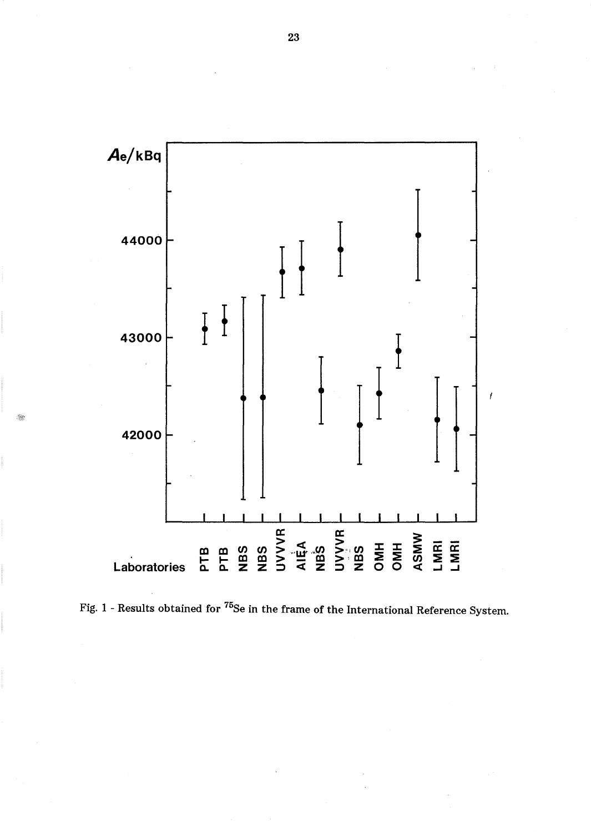

Fig. 1 - Results obtained for <sup>75</sup>Se in the frame of the International Reference System.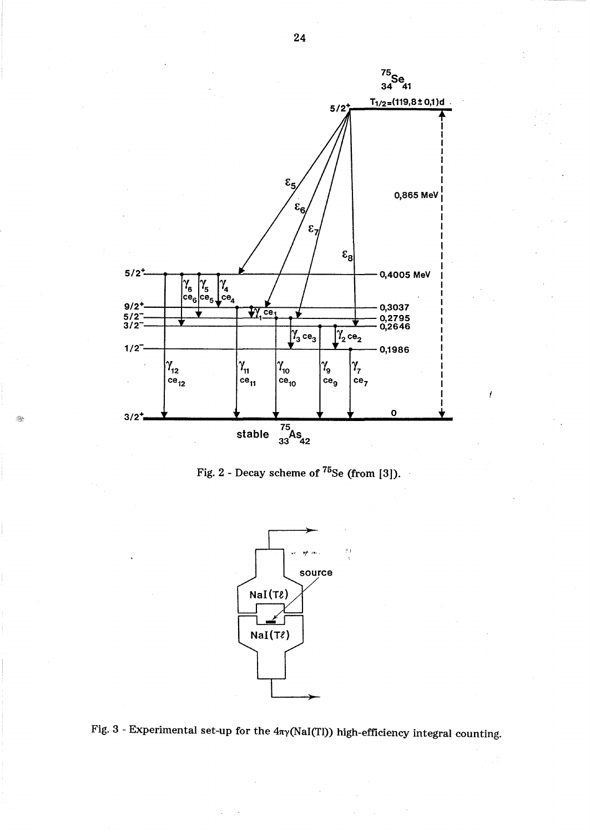





Fig. 3 - Experimental set-up for the  $4\pi\gamma(NaI(T))$  high-efficiency integral counting.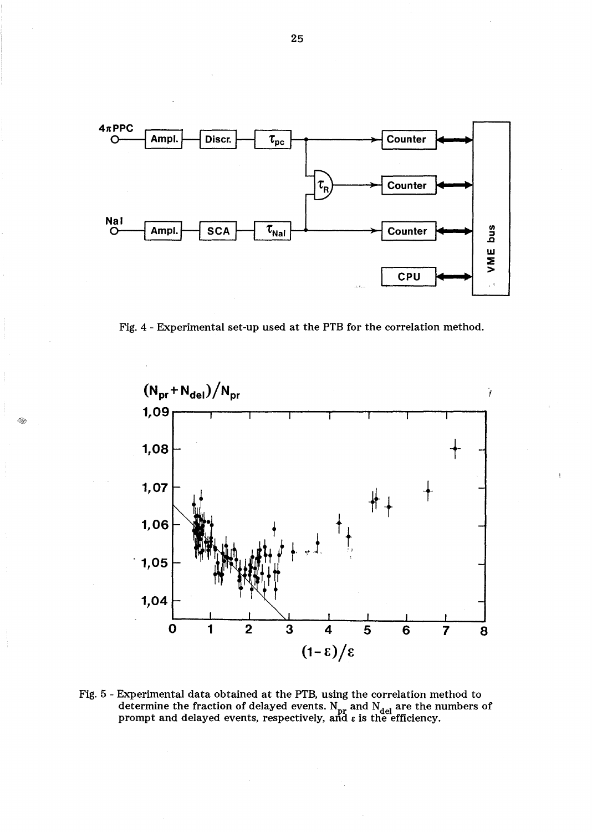

Fig. 4 - Experimental set-up used at the PTB for the correlation method.



Fig. 5 - Experimental data obtained at the PTB, using the correlation method to determine the fraction of delayed events. N<sub>pr</sub> and N<sub>del</sub> are the numbers of<br>prompt and delayed events, respectively, and ε is the efficiency.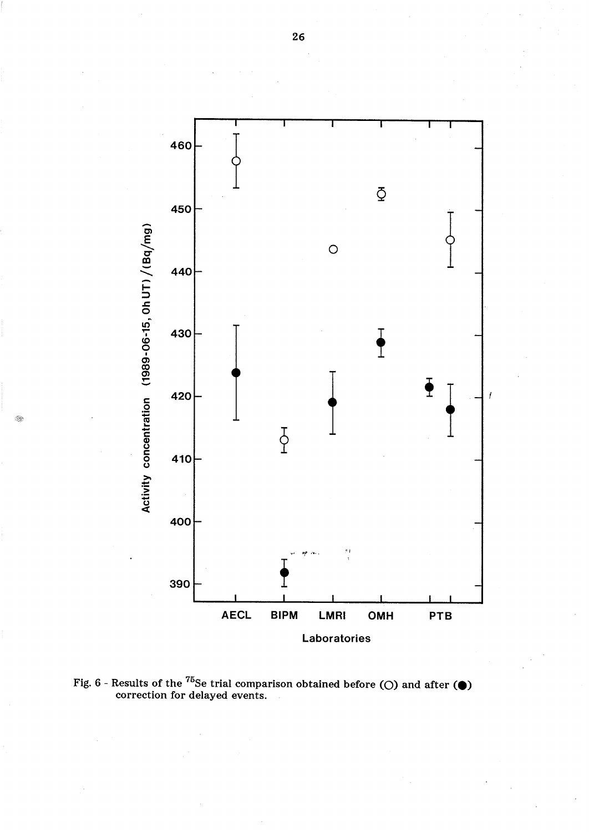

Ñ,

Fig.  $6$  - Results of the  $^{75}$ Se trial comparison obtained before (Q) and after ( $\bigcirc$ ) correction for delayed events.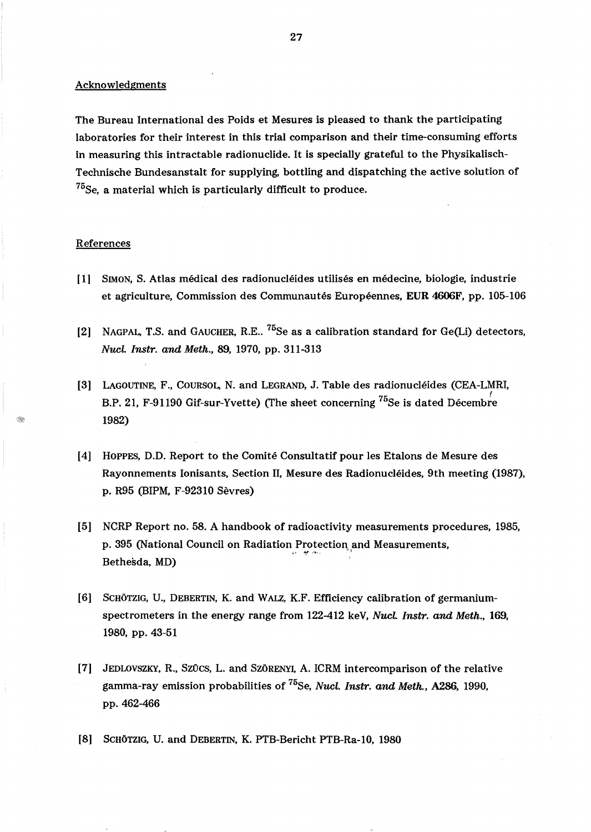Acknowledgments

The Bureau International des Poids et Mesures is pleased to thank the participating laboratories for their interest in this trial comparison and their time-consuming efforts in measuring this intractable radionuclide. It is specially grateful to the Physikalisch-Technische Bundesanstalt for supplying, bottling and dispatching the active solution of  $^{75}$ Se, a material which is particularly difficult to produce.

#### References

- [1] SIMON, S. Atlas medical des radionucleides utilises en medecine, biologie, industrie et agriculture, Commission des Communautés Européennes, EUR 4606F, pp. 105-106
- [2] NAGPAL, T.S. and GAUCHER, R.E..  $^{75}$ Se as a calibration standard for Ge(Li) detectors, *Nucl. Instr. and Meth.,* 89, 1970, pp. 311-313
- [3] LAGOUTINE, F., COURSOL, N. and LEGRAND, J. Table des radionucleides (CEA-LMRI, B.P. 21, F-91190 Gif-sur-Yvette) (The sheet concerning <sup>75</sup>Se is dated Décembre 1982)
- [4] HOPPES, 0.0. Report to the Comite Consultatif pour les Etalons de Mesure des Rayonnements Ionisants, Section II, Mesure des Radionucleides, 9th meeting (1987), p. R95 (BIPM, F-92310 Sevres)
- [5] NCRP Report no. 58. A handbook of radioactivity measurements procedures, 1985,<br>p. 395 (National Council on Radiation Protection and Measurements,<br>Bethesda, MD) p. 395 (National Council on Radiation Protection and Measurements,
- [6] SCHÖTZIG, U., DEBERTIN, K. and WALZ, K.F. Efficiency calibration of germaniumspectrometers in the energy range from 122-412 keY, *Nucl. Instr. and Meth., 169,*  1980, pp. 43-51
- [7] JEDLOVSZKY, R., SZÜCS, L. and SZÖRENYI, A. ICRM intercomparison of the relative gamma-ray emission probabilities of 75Se, *Nucl. Instr. and Meth.,* A286, 1990, pp. 462-466
- [8] SCHÖTZIG, U. and DEBERTIN, K. PTB-Bericht PTB-Ra-10, 1980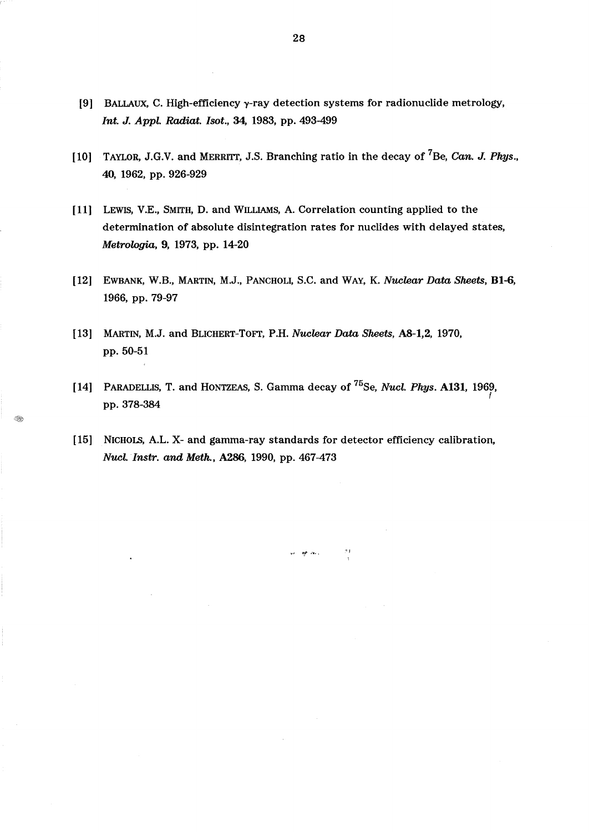- [9] BALLAUX, C. High-efficiency  $\gamma$ -ray detection systems for radionuclide metrology, *Int. J. Appl. Radiat. Isot.,* 34, 1983, pp. 493-499
- [10] TAYLOR, J.G.V. and MERRITT, J.S. Branching ratio in the decay of 7Be, *Can. J. Phys.,*  40, 1962, pp. 926-929
- [11] LEWIS, V.E., SMITH, D. and WILLIAMS, A. Correlation counting applied to the determination of absolute disintegration rates for nuclides with delayed states, *Metrologia,* 9, 1973, pp. 14-20
- [12] EWBANK, W.B., MARTIN, M.J., PANCHOLI, S.C. and WAY. K. *Nuclear Data Sheets,* BI-6, 1966, pp. 79-97
- [13] MARTIN, M.J. and BLICHERT-ToFT, P.H. *Nuclear Data Sheets,* A8-1,2, 1970, pp. 50-51

I.

- [14] PARADELLIS, T. and HONTZEAS, S. Gamma decay of 75Se, *Nucl. Phys.* A131, 1969, *t*  pp. 378-384
- [15] NICHOLS, A.L. X- and gamma-ray standards for detector efficiency calibration, *Nucl.lnstr. and Meth.,* A286, 1990, pp. 467-473

 $\sim$  10  $\,$  .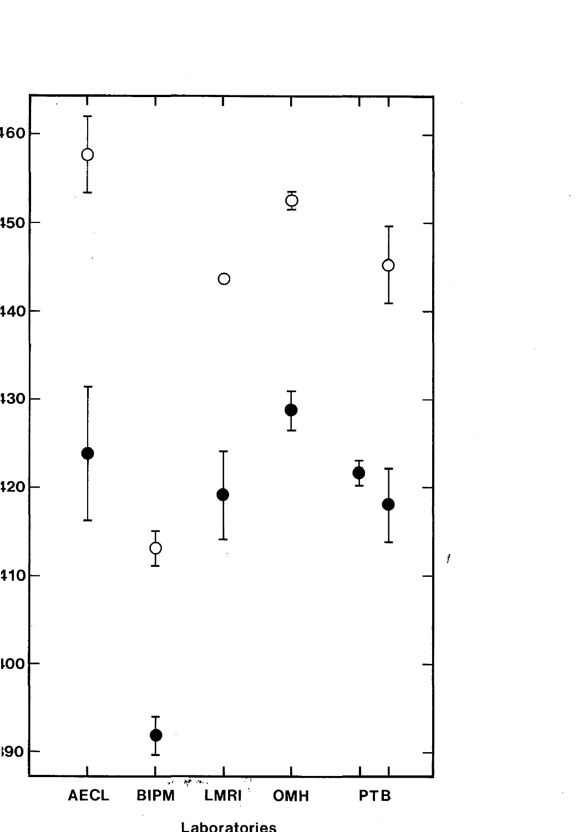